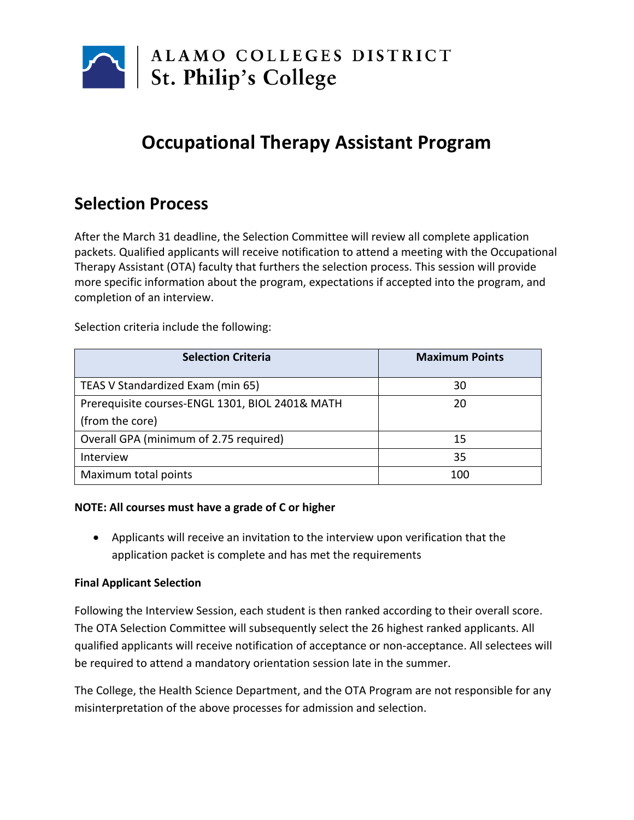

# **Occupational Therapy Assistant Program**

# **Selection Process**

After the March 31 deadline, the Selection Committee will review all complete application packets. Qualified applicants will receive notification to attend a meeting with the Occupational Therapy Assistant (OTA) faculty that furthers the selection process. This session will provide more specific information about the program, expectations if accepted into the program, and completion of an interview.

**Selection Criteria Maximum Points** TEAS V Standardized Exam (min 65) 30 Prerequisite courses-ENGL 1301, BIOL 2401& MATH (from the core) 20 Overall GPA (minimum of 2.75 required) 15 Interview 35 Maximum total points 100

Selection criteria include the following:

#### **NOTE: All courses must have a grade of C or higher**

• Applicants will receive an invitation to the interview upon verification that the application packet is complete and has met the requirements

# **Final Applicant Selection**

Following the Interview Session, each student is then ranked according to their overall score. The OTA Selection Committee will subsequently select the 26 highest ranked applicants. All qualified applicants will receive notification of acceptance or non-acceptance. All selectees will be required to attend a mandatory orientation session late in the summer.

The College, the Health Science Department, and the OTA Program are not responsible for any misinterpretation of the above processes for admission and selection.